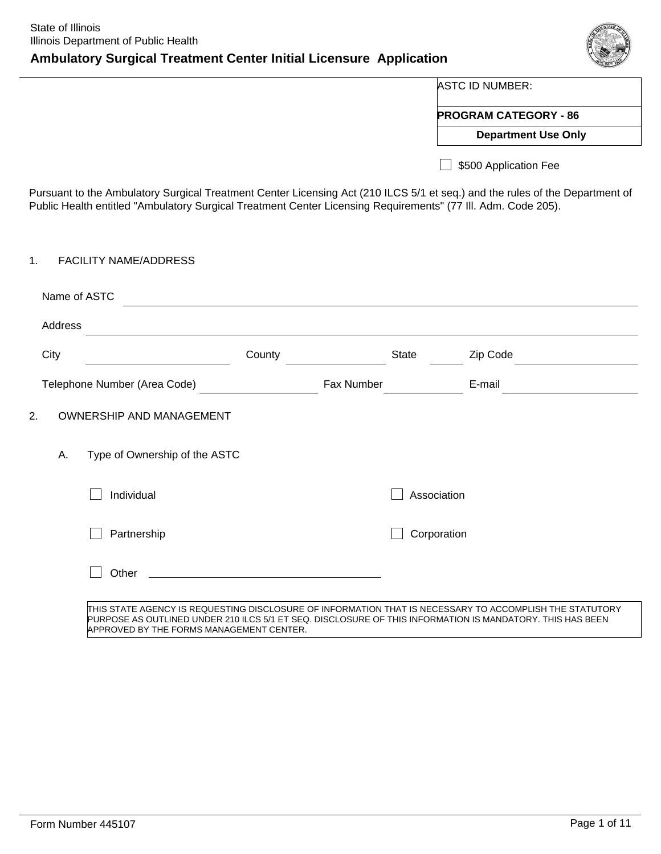# **Ambulatory Surgical Treatment Center Initial Licensure Application**



ASTC ID NUMBER:

**PROGRAM CATEGORY - 86**

**Department Use Only**

5500 Application Fee

Pursuant to the Ambulatory Surgical Treatment Center Licensing Act (210 ILCS 5/1 et seq.) and the rules of the Department of Public Health entitled "Ambulatory Surgical Treatment Center Licensing Requirements" (77 Ill. Adm. Code 205).

#### 1. FACILITY NAME/ADDRESS

|    | Name of ASTC |                                                                                                                                                       |        |            |             |                                                                                                          |
|----|--------------|-------------------------------------------------------------------------------------------------------------------------------------------------------|--------|------------|-------------|----------------------------------------------------------------------------------------------------------|
|    | Address      |                                                                                                                                                       |        |            |             |                                                                                                          |
|    | City         |                                                                                                                                                       | County |            | State       | Zip Code                                                                                                 |
|    |              | Telephone Number (Area Code)                                                                                                                          |        | Fax Number |             | E-mail                                                                                                   |
| 2. |              | <b>OWNERSHIP AND MANAGEMENT</b>                                                                                                                       |        |            |             |                                                                                                          |
|    | Α.           | Type of Ownership of the ASTC                                                                                                                         |        |            |             |                                                                                                          |
|    |              | Individual                                                                                                                                            |        |            | Association |                                                                                                          |
|    |              | Partnership                                                                                                                                           |        |            | Corporation |                                                                                                          |
|    |              | Other                                                                                                                                                 |        |            |             |                                                                                                          |
|    |              | PURPOSE AS OUTLINED UNDER 210 ILCS 5/1 ET SEQ. DISCLOSURE OF THIS INFORMATION IS MANDATORY. THIS HAS BEEN<br>APPROVED BY THE FORMS MANAGEMENT CENTER. |        |            |             | ITHIS STATE AGENCY IS REQUESTING DISCLOSURE OF INFORMATION THAT IS NECESSARY TO ACCOMPLISH THE STATUTORY |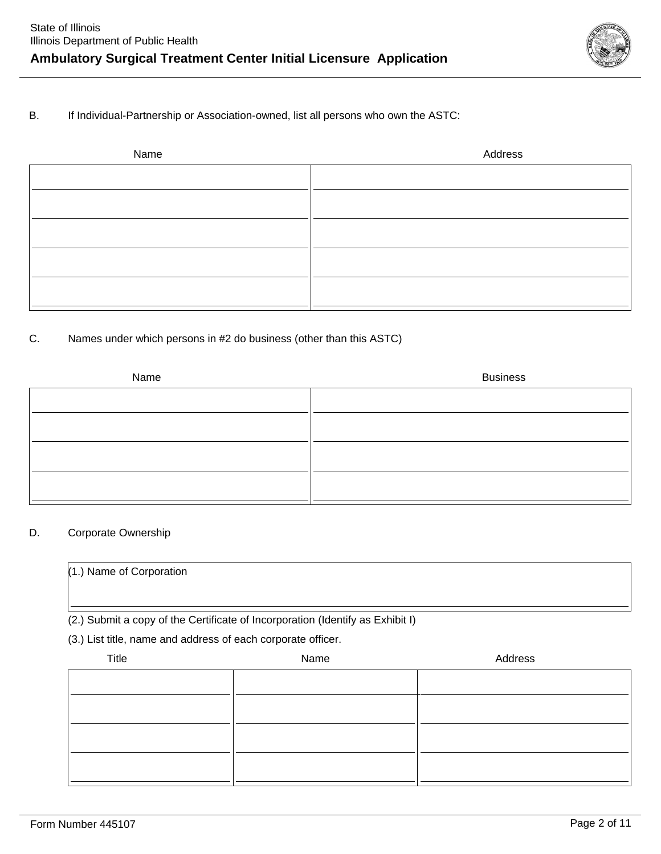

B. If Individual-Partnership or Association-owned, list all persons who own the ASTC:

| Name | Address |
|------|---------|
|      |         |
|      |         |
|      |         |
|      |         |
|      |         |
|      |         |
|      |         |

### C. Names under which persons in #2 do business (other than this ASTC)

| Name | <b>Business</b> |
|------|-----------------|
|      |                 |
|      |                 |
|      |                 |
|      |                 |
|      |                 |
|      |                 |
|      |                 |

### D. Corporate Ownership

| $(1.)$ Name of Corporation                                                     |      |         |  |  |  |  |
|--------------------------------------------------------------------------------|------|---------|--|--|--|--|
| (2.) Submit a copy of the Certificate of Incorporation (Identify as Exhibit I) |      |         |  |  |  |  |
| (3.) List title, name and address of each corporate officer.                   |      |         |  |  |  |  |
| Title                                                                          | Name | Address |  |  |  |  |
|                                                                                |      |         |  |  |  |  |
|                                                                                |      |         |  |  |  |  |
|                                                                                |      |         |  |  |  |  |
|                                                                                |      |         |  |  |  |  |
|                                                                                |      |         |  |  |  |  |
|                                                                                |      |         |  |  |  |  |
|                                                                                |      |         |  |  |  |  |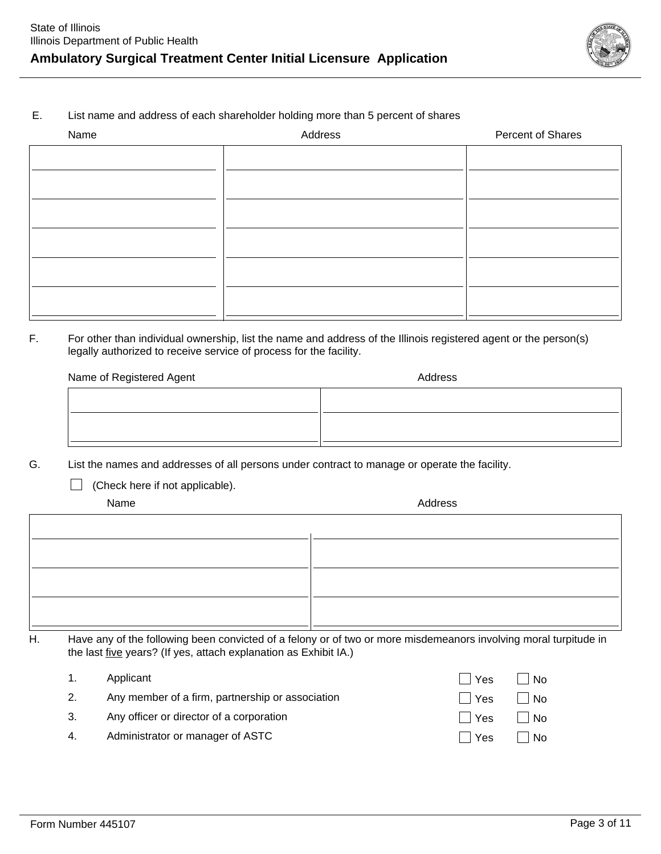

### E. List name and address of each shareholder holding more than 5 percent of shares

| Name | Address | Percent of Shares |
|------|---------|-------------------|
|      |         |                   |
|      |         |                   |
|      |         |                   |
|      |         |                   |
|      |         |                   |
|      |         |                   |
|      |         |                   |
|      |         |                   |
|      |         |                   |

### F. For other than individual ownership, list the name and address of the Illinois registered agent or the person(s) legally authorized to receive service of process for the facility.

| Name of Registered Agent | Address |
|--------------------------|---------|
|                          |         |
|                          |         |
|                          |         |
|                          |         |

G. List the names and addresses of all persons under contract to manage or operate the facility.

□ (Check here if not applicable).

Name Address And Address And Address And Address And Address And Address And Address And Address And Address A

H. Have any of the following been convicted of a felony or of two or more misdemeanors involving moral turpitude in the last five years? (If yes, attach explanation as Exhibit IA.)

|    | Applicant                                        | l Yes L | $\overline{\phantom{a}}$ No |
|----|--------------------------------------------------|---------|-----------------------------|
| 2. | Any member of a firm, partnership or association | ∣∣Yes   | $\vert$ $\vert$ No          |
| 3. | Any officer or director of a corporation         | ∣ I Yes | N <sub>0</sub>              |
| 4. | Administrator or manager of ASTC                 | l Yes   | $\vert$ $\vert$ No          |
|    |                                                  |         |                             |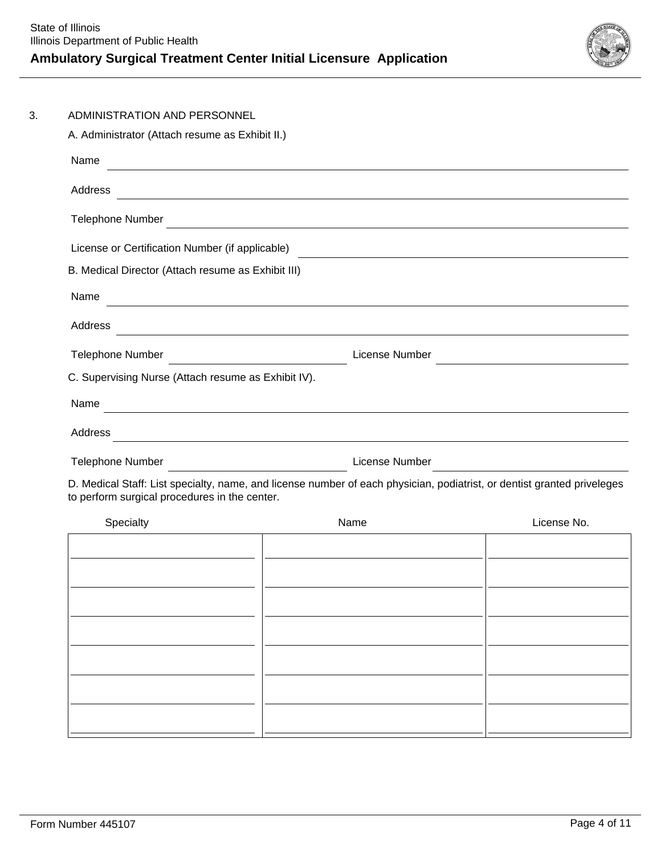

| ADMINISTRATION AND PERSONNEL                                                                                                                                                                                                         |                                                                                                                         |             |  |  |  |
|--------------------------------------------------------------------------------------------------------------------------------------------------------------------------------------------------------------------------------------|-------------------------------------------------------------------------------------------------------------------------|-------------|--|--|--|
| A. Administrator (Attach resume as Exhibit II.)                                                                                                                                                                                      |                                                                                                                         |             |  |  |  |
| Name<br><u> 1989 - Johann Barn, mars eta bainar eta bat erroman erroman erroman erroman erroman erroman erroman erroman</u>                                                                                                          |                                                                                                                         |             |  |  |  |
| Address                                                                                                                                                                                                                              | <u> 1989 - Johann Stoff, amerikansk politiker (* 1908)</u>                                                              |             |  |  |  |
|                                                                                                                                                                                                                                      |                                                                                                                         |             |  |  |  |
| License or Certification Number (if applicable)                                                                                                                                                                                      |                                                                                                                         |             |  |  |  |
| B. Medical Director (Attach resume as Exhibit III)                                                                                                                                                                                   |                                                                                                                         |             |  |  |  |
| Name<br><u> 1989 - Johann Stoff, amerikansk politiker (d. 1989)</u>                                                                                                                                                                  |                                                                                                                         |             |  |  |  |
| Address<br><u> 1980 - Johann Stoff, deutscher Stoff, der Stoff, deutscher Stoff, der Stoff, der Stoff, der Stoff, der Stoff</u>                                                                                                      |                                                                                                                         |             |  |  |  |
| <b>Telephone Number</b><br>License Number                                                                                                                                                                                            |                                                                                                                         |             |  |  |  |
| C. Supervising Nurse (Attach resume as Exhibit IV).                                                                                                                                                                                  |                                                                                                                         |             |  |  |  |
| Name                                                                                                                                                                                                                                 |                                                                                                                         |             |  |  |  |
|                                                                                                                                                                                                                                      |                                                                                                                         |             |  |  |  |
| Address                                                                                                                                                                                                                              | <u> 1989 - Johann Stoff, amerikansk politiker (d. 1989)</u>                                                             |             |  |  |  |
| Telephone Number <u>Department of the set of the set of the set of the set of the set of the set of the set of the set of the set of the set of the set of the set of the set of the set of the set of the set of the set of the</u> |                                                                                                                         |             |  |  |  |
| to perform surgical procedures in the center.                                                                                                                                                                                        | D. Medical Staff: List specialty, name, and license number of each physician, podiatrist, or dentist granted priveleges |             |  |  |  |
| Specialty                                                                                                                                                                                                                            | Name                                                                                                                    | License No. |  |  |  |
|                                                                                                                                                                                                                                      |                                                                                                                         |             |  |  |  |
|                                                                                                                                                                                                                                      |                                                                                                                         |             |  |  |  |
|                                                                                                                                                                                                                                      |                                                                                                                         |             |  |  |  |
|                                                                                                                                                                                                                                      |                                                                                                                         |             |  |  |  |
|                                                                                                                                                                                                                                      |                                                                                                                         |             |  |  |  |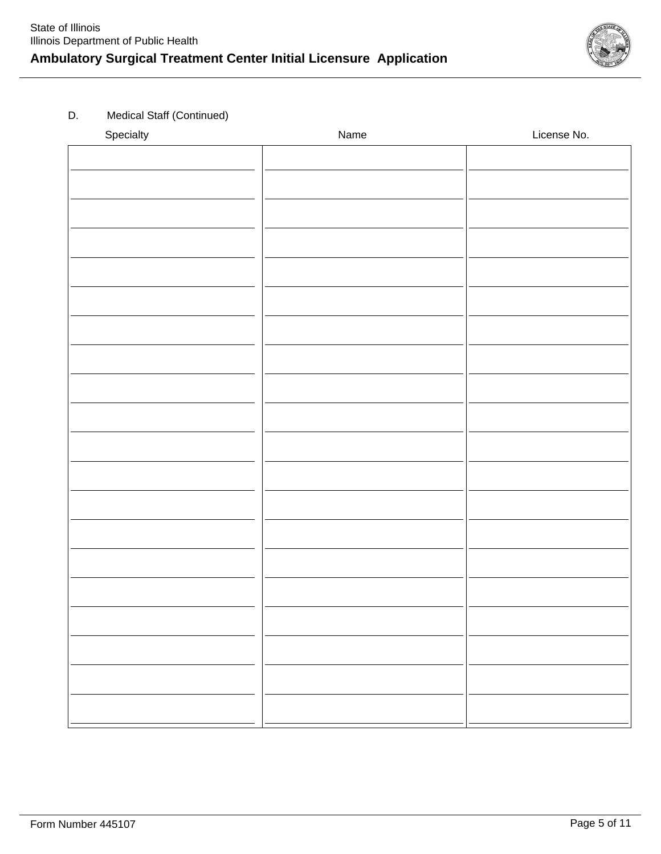

### D. Medical Staff (Continued)

| Specialty | Name | License No. |
|-----------|------|-------------|
|           |      |             |
|           |      |             |
|           |      |             |
|           |      |             |
|           |      |             |
|           |      |             |
|           |      |             |
|           |      |             |
|           |      |             |
|           |      |             |
|           |      |             |
|           |      |             |
|           |      |             |
|           |      |             |
|           |      |             |
|           |      |             |
|           |      |             |
|           |      |             |
|           |      |             |
|           |      |             |
|           |      |             |
|           |      |             |
|           |      |             |
|           |      |             |
|           |      |             |
|           |      |             |
|           |      |             |
|           |      |             |
|           |      |             |
|           |      |             |
|           |      |             |
|           |      |             |
|           |      |             |
|           |      |             |
|           |      |             |
|           |      |             |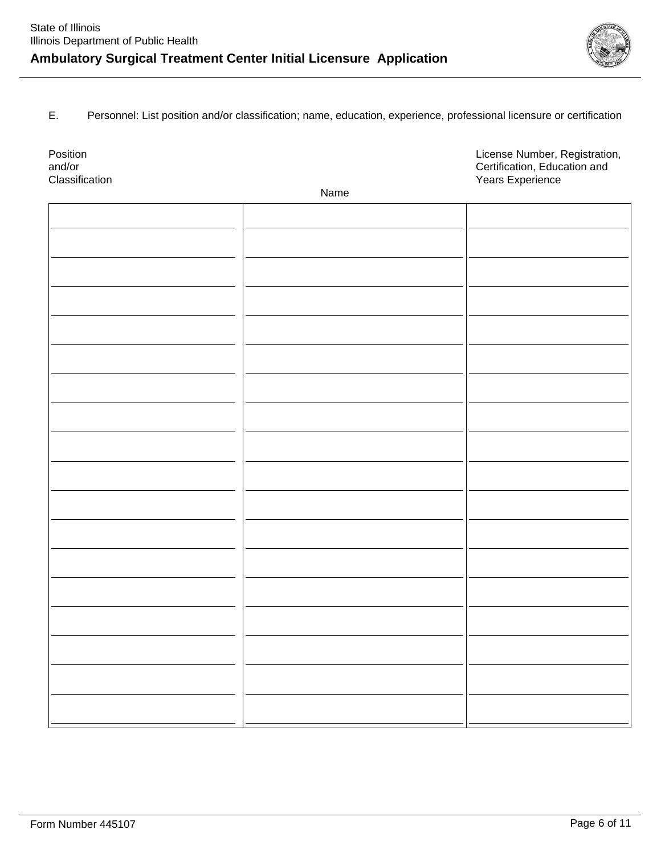

E. Personnel: List position and/or classification; name, education, experience, professional licensure or certification

| Position<br>and/or |      | License Number, Registration,<br>Certification, Education and |
|--------------------|------|---------------------------------------------------------------|
| Classification     |      | Years Experience                                              |
|                    | Name |                                                               |
|                    |      |                                                               |
|                    |      |                                                               |
|                    |      |                                                               |
|                    |      |                                                               |
|                    |      |                                                               |
|                    |      |                                                               |
|                    |      |                                                               |
|                    |      |                                                               |
|                    |      |                                                               |
|                    |      |                                                               |
|                    |      |                                                               |
|                    |      |                                                               |
|                    |      |                                                               |
|                    |      |                                                               |
|                    |      |                                                               |
|                    |      |                                                               |
|                    |      |                                                               |
|                    |      |                                                               |
|                    |      |                                                               |
|                    |      |                                                               |
|                    |      |                                                               |
|                    |      |                                                               |
|                    |      |                                                               |
|                    |      |                                                               |
|                    |      |                                                               |
|                    |      |                                                               |
|                    |      |                                                               |
|                    |      |                                                               |
|                    |      |                                                               |
|                    |      |                                                               |
|                    |      |                                                               |
|                    |      |                                                               |
|                    |      |                                                               |
|                    |      |                                                               |
|                    |      |                                                               |
|                    |      |                                                               |
|                    |      |                                                               |
|                    |      |                                                               |
|                    |      |                                                               |
|                    |      |                                                               |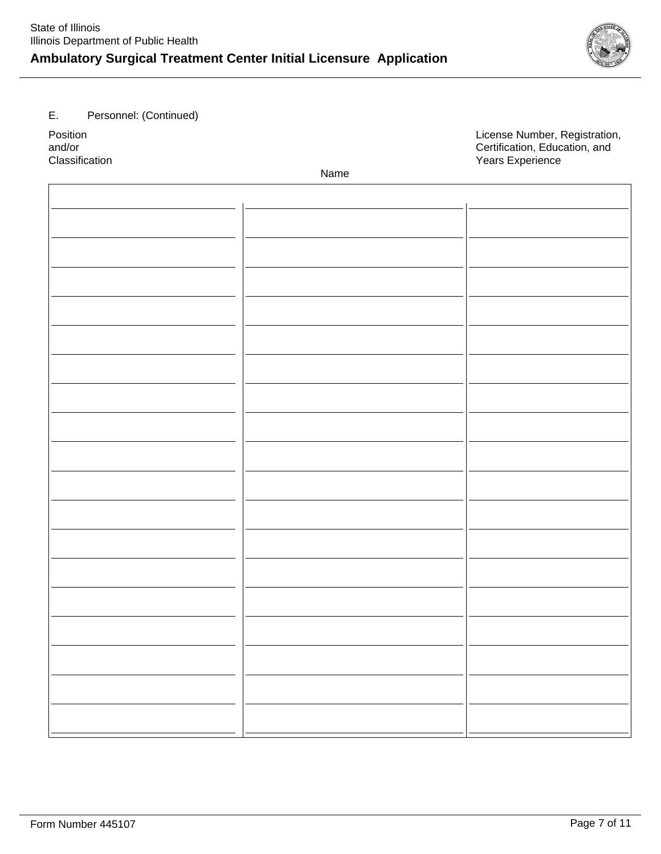# **Ambulatory Surgical Treatment Center Initial Licensure Application**

E. Personnel: (Continued)

Position **Position**<br> **Position**<br> **Position, Registration, and/or**<br> **Position, Education, and** and/or **Certification, Education, and**<br>
Classification contraction, and Classification, and Classification, and Classification, and Classification, and Years Experience

Name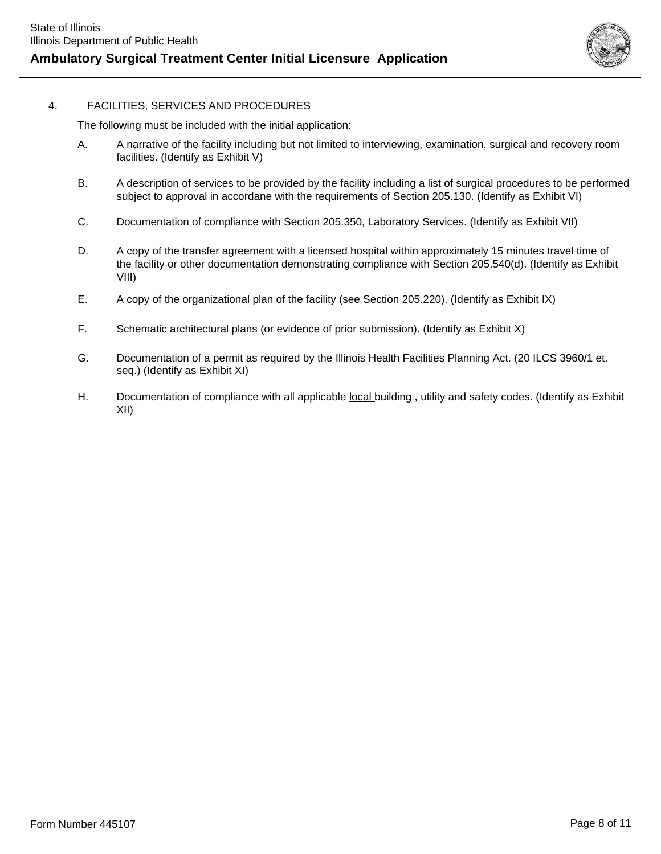

### 4. FACILITIES, SERVICES AND PROCEDURES

The following must be included with the initial application:

- A. A narrative of the facility including but not limited to interviewing, examination, surgical and recovery room facilities. (Identify as Exhibit V)
- B. A description of services to be provided by the facility including a list of surgical procedures to be performed subject to approval in accordane with the requirements of Section 205.130. (Identify as Exhibit VI)
- C. Documentation of compliance with Section 205.350, Laboratory Services. (Identify as Exhibit VII)
- D. A copy of the transfer agreement with a licensed hospital within approximately 15 minutes travel time of the facility or other documentation demonstrating compliance with Section 205.540(d). (Identify as Exhibit VIII)
- E. A copy of the organizational plan of the facility (see Section 205.220). (Identify as Exhibit IX)
- F. Schematic architectural plans (or evidence of prior submission). (Identify as Exhibit X)
- G. Documentation of a permit as required by the Illinois Health Facilities Planning Act. (20 ILCS 3960/1 et. seq.) (Identify as Exhibit XI)
- H. Documentation of compliance with all applicable local building, utility and safety codes. (Identify as Exhibit XII)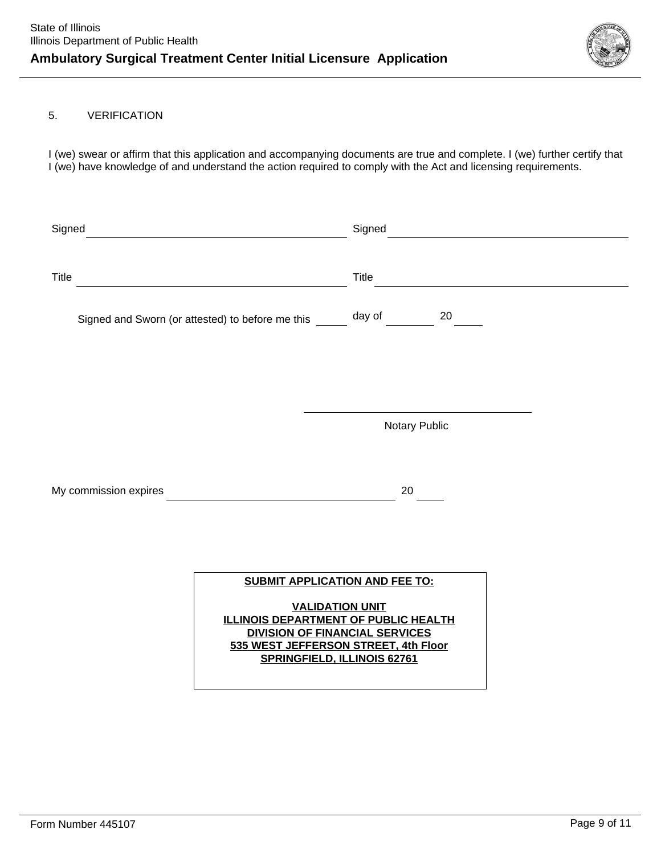

### 5. VERIFICATION

I (we) swear or affirm that this application and accompanying documents are true and complete. I (we) further certify that I (we) have knowledge of and understand the action required to comply with the Act and licensing requirements.

| Signed       |                                                  | Signed        |  |
|--------------|--------------------------------------------------|---------------|--|
| <b>Title</b> |                                                  | Title         |  |
|              | Signed and Sworn (or attested) to before me this | day of<br>20  |  |
|              |                                                  | Notary Public |  |
|              | My commission expires                            | 20            |  |

### **SUBMIT APPLICATION AND FEE TO:**

**VALIDATION UNIT ILLINOIS DEPARTMENT OF PUBLIC HEALTH DIVISION OF FINANCIAL SERVICES 535 WEST JEFFERSON STREET, 4th Floor SPRINGFIELD, ILLINOIS 62761**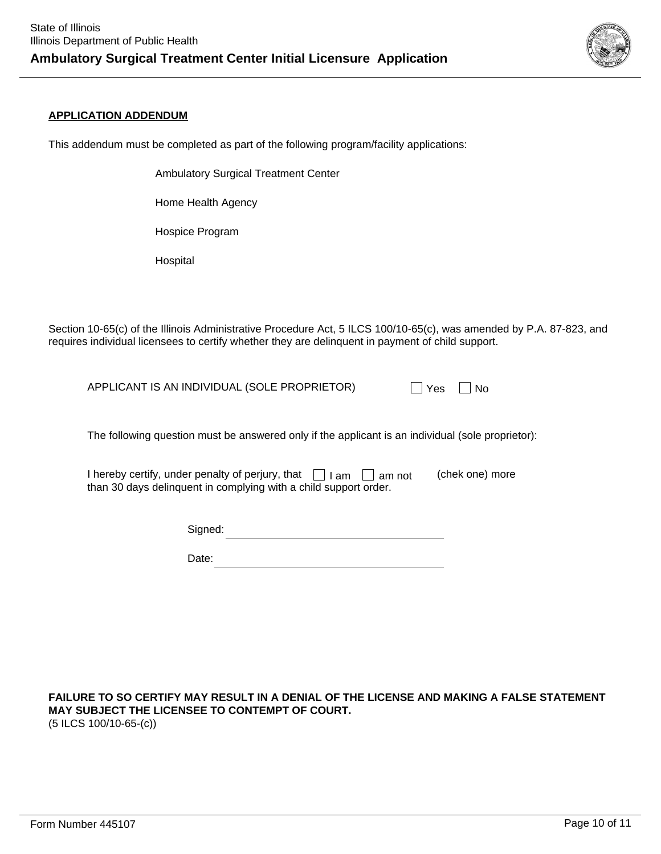

### **APPLICATION ADDENDUM**

This addendum must be completed as part of the following program/facility applications:

Ambulatory Surgical Treatment Center

Home Health Agency

Hospice Program

Hospital

Section 10-65(c) of the Illinois Administrative Procedure Act, 5 ILCS 100/10-65(c), was amended by P.A. 87-823, and requires individual licensees to certify whether they are delinquent in payment of child support.

APPLICANT IS AN INDIVIDUAL (SOLE PROPRIETOR)  $\Box$  Yes  $\Box$  No

The following question must be answered only if the applicant is an individual (sole proprietor):

I hereby certify, under penalty of perjury, that  $\quad \bigsqcup$  I am  $\quad \bigsqcup$  am not  $\qquad$  (chek one) more than 30 days delinquent in complying with a child support order.

| Signed: |  |
|---------|--|
|---------|--|

| late:<br>Ι.<br>---- |
|---------------------|
|---------------------|

**FAILURE TO SO CERTIFY MAY RESULT IN A DENIAL OF THE LICENSE AND MAKING A FALSE STATEMENT MAY SUBJECT THE LICENSEE TO CONTEMPT OF COURT.** (5 ILCS 100/10-65-(c))